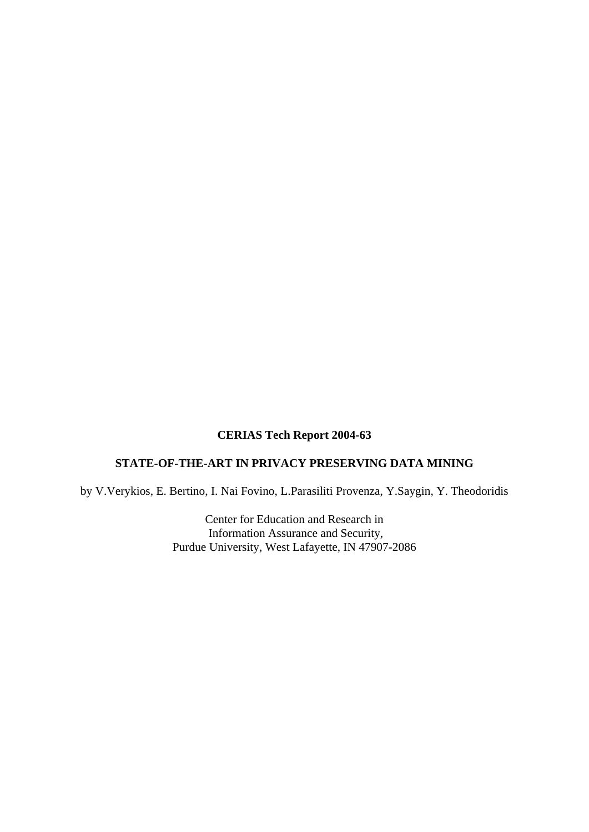# **CERIAS Tech Report 2004-63**

# **STATE-OF-THE-ART IN PRIVACY PRESERVING DATA MINING**

by V.Verykios, E. Bertino, I. Nai Fovino, L.Parasiliti Provenza, Y.Saygin, Y. Theodoridis

Center for Education and Research in Information Assurance and Security, Purdue University, West Lafayette, IN 47907-2086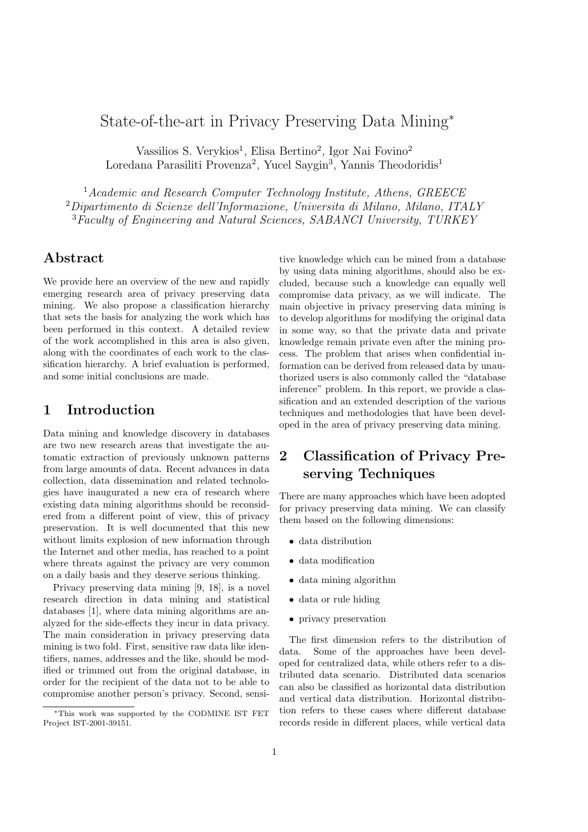# State-of-the-art in Privacy Preserving Data Mining<sup>∗</sup>

Vassilios S. Verykios<sup>1</sup>, Elisa Bertino<sup>2</sup>, Igor Nai Fovino<sup>2</sup> Loredana Parasiliti Provenza<sup>2</sup>, Yucel Saygin<sup>3</sup>, Yannis Theodoridis<sup>1</sup>

<sup>1</sup> Academic and Research Computer Technology Institute, Athens, GREECE <sup>2</sup>Dipartimento di Scienze dell'Informazione, Universita di Milano, Milano, ITALY <sup>3</sup>Faculty of Engineering and Natural Sciences, SABANCI University, TURKEY

# Abstract

We provide here an overview of the new and rapidly emerging research area of privacy preserving data mining. We also propose a classification hierarchy that sets the basis for analyzing the work which has been performed in this context. A detailed review of the work accomplished in this area is also given, along with the coordinates of each work to the classification hierarchy. A brief evaluation is performed, and some initial conclusions are made.

## 1 Introduction

Data mining and knowledge discovery in databases are two new research areas that investigate the automatic extraction of previously unknown patterns from large amounts of data. Recent advances in data collection, data dissemination and related technologies have inaugurated a new era of research where existing data mining algorithms should be reconsidered from a different point of view, this of privacy preservation. It is well documented that this new without limits explosion of new information through the Internet and other media, has reached to a point where threats against the privacy are very common on a daily basis and they deserve serious thinking.

Privacy preserving data mining [9, 18], is a novel research direction in data mining and statistical databases [1], where data mining algorithms are analyzed for the side-effects they incur in data privacy. The main consideration in privacy preserving data mining is two fold. First, sensitive raw data like identifiers, names, addresses and the like, should be modified or trimmed out from the original database, in order for the recipient of the data not to be able to compromise another person's privacy. Second, sensitive knowledge which can be mined from a database by using data mining algorithms, should also be excluded, because such a knowledge can equally well compromise data privacy, as we will indicate. The main objective in privacy preserving data mining is to develop algorithms for modifying the original data in some way, so that the private data and private knowledge remain private even after the mining process. The problem that arises when condential information can be derived from released data by unauthorized users is also commonly called the "database" inference" problem. In this report, we provide a classification and an extended description of the various techniques and methodologies that have been developed in the area of privacy preserving data mining.

# 2 Classification of Privacy Preserving Techniques

There are many approaches which have been adopted for privacy preserving data mining. We can classify them based on the following dimensions:

- data distribution
- $\bullet$  data modification
- data mining algorithm
- data or rule hiding
- privacy preservation

The first dimension refers to the distribution of data. Some of the approaches have been developed for centralized data, while others refer to a distributed data scenario. Distributed data scenarios can also be classied as horizontal data distribution and vertical data distribution. Horizontal distribution refers to these cases where different database records reside in different places, while vertical data

<sup>∗</sup>This work was supported by the CODMINE IST FET Project IST-2001-39151.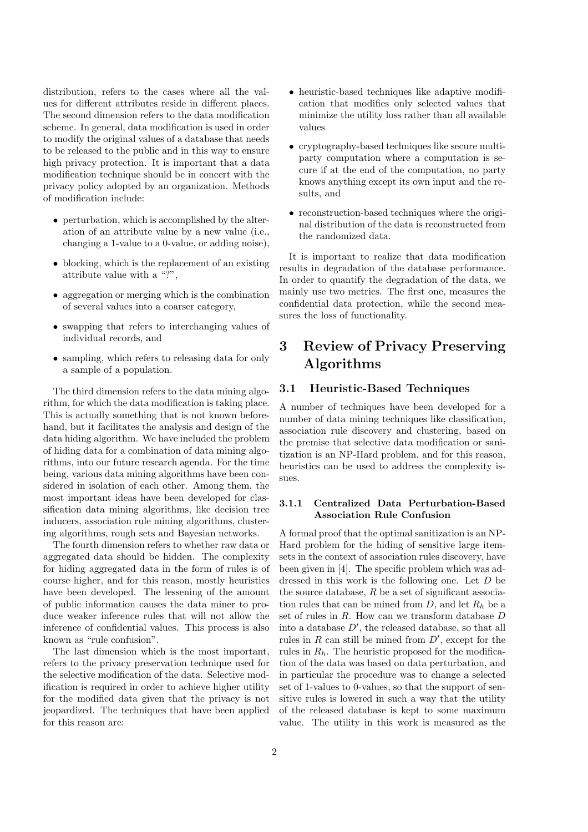distribution, refers to the cases where all the values for different attributes reside in different places. The second dimension refers to the data modification scheme. In general, data modification is used in order to modify the original values of a database that needs to be released to the public and in this way to ensure high privacy protection. It is important that a data modification technique should be in concert with the privacy policy adopted by an organization. Methods of modification include:

- perturbation, which is accomplished by the alteration of an attribute value by a new value (i.e., changing a 1-value to a 0-value, or adding noise),
- blocking, which is the replacement of an existing attribute value with a "?",
- aggregation or merging which is the combination of several values into a coarser category,
- swapping that refers to interchanging values of individual records, and
- sampling, which refers to releasing data for only a sample of a population.

The third dimension refers to the data mining algorithm, for which the data modification is taking place. This is actually something that is not known beforehand, but it facilitates the analysis and design of the data hiding algorithm. We have included the problem of hiding data for a combination of data mining algorithms, into our future research agenda. For the time being, various data mining algorithms have been considered in isolation of each other. Among them, the most important ideas have been developed for classification data mining algorithms, like decision tree inducers, association rule mining algorithms, clustering algorithms, rough sets and Bayesian networks.

The fourth dimension refers to whether raw data or aggregated data should be hidden. The complexity for hiding aggregated data in the form of rules is of course higher, and for this reason, mostly heuristics have been developed. The lessening of the amount of public information causes the data miner to produce weaker inference rules that will not allow the inference of confidential values. This process is also known as "rule confusion".

The last dimension which is the most important, refers to the privacy preservation technique used for the selective modification of the data. Selective modication is required in order to achieve higher utility for the modified data given that the privacy is not jeopardized. The techniques that have been applied for this reason are:

- $\bullet$  heuristic-based techniques like adaptive modification that modifies only selected values that minimize the utility loss rather than all available values
- cryptography-based techniques like secure multiparty computation where a computation is secure if at the end of the computation, no party knows anything except its own input and the results, and
- reconstruction-based techniques where the original distribution of the data is reconstructed from the randomized data.

It is important to realize that data modification results in degradation of the database performance. In order to quantify the degradation of the data, we mainly use two metrics. The first one, measures the confidential data protection, while the second measures the loss of functionality.

# 3 Review of Privacy Preserving Algorithms

## 3.1 Heuristic-Based Techniques

A number of techniques have been developed for a number of data mining techniques like classification, association rule discovery and clustering, based on the premise that selective data modification or sanitization is an NP-Hard problem, and for this reason, heuristics can be used to address the complexity issues.

### 3.1.1 Centralized Data Perturbation-Based Association Rule Confusion

A formal proof that the optimal sanitization is an NP-Hard problem for the hiding of sensitive large itemsets in the context of association rules discovery, have been given in [4]. The specific problem which was addressed in this work is the following one. Let D be the source database,  $R$  be a set of significant association rules that can be mined from D, and let  $R_h$  be a set of rules in  $R$ . How can we transform database  $D$ into a database  $D'$ , the released database, so that all rules in  $R$  can still be mined from  $D'$ , except for the rules in  $R_h$ . The heuristic proposed for the modification of the data was based on data perturbation, and in particular the procedure was to change a selected set of 1-values to 0-values, so that the support of sensitive rules is lowered in such a way that the utility of the released database is kept to some maximum value. The utility in this work is measured as the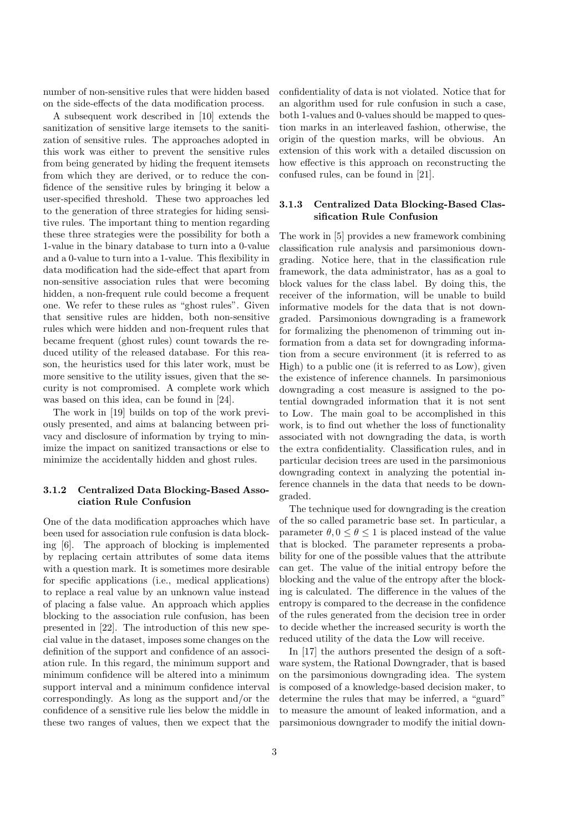number of non-sensitive rules that were hidden based on the side-effects of the data modification process.

A subsequent work described in [10] extends the sanitization of sensitive large itemsets to the sanitization of sensitive rules. The approaches adopted in this work was either to prevent the sensitive rules from being generated by hiding the frequent itemsets from which they are derived, or to reduce the con fidence of the sensitive rules by bringing it below a user-specified threshold. These two approaches led to the generation of three strategies for hiding sensitive rules. The important thing to mention regarding these three strategies were the possibility for both a 1-value in the binary database to turn into a 0-value and a 0-value to turn into a 1-value. This flexibility in data modification had the side-effect that apart from non-sensitive association rules that were becoming hidden, a non-frequent rule could become a frequent one. We refer to these rules as "ghost rules". Given that sensitive rules are hidden, both non-sensitive rules which were hidden and non-frequent rules that became frequent (ghost rules) count towards the reduced utility of the released database. For this reason, the heuristics used for this later work, must be more sensitive to the utility issues, given that the security is not compromised. A complete work which was based on this idea, can be found in [24].

The work in [19] builds on top of the work previously presented, and aims at balancing between privacy and disclosure of information by trying to minimize the impact on sanitized transactions or else to minimize the accidentally hidden and ghost rules.

#### 3.1.2 Centralized Data Blocking-Based Association Rule Confusion

One of the data modification approaches which have been used for association rule confusion is data blocking [6]. The approach of blocking is implemented by replacing certain attributes of some data items with a question mark. It is sometimes more desirable for specific applications (i.e., medical applications) to replace a real value by an unknown value instead of placing a false value. An approach which applies blocking to the association rule confusion, has been presented in [22]. The introduction of this new special value in the dataset, imposes some changes on the definition of the support and confidence of an association rule. In this regard, the minimum support and minimum confidence will be altered into a minimum support interval and a minimum confidence interval correspondingly. As long as the support and/or the confidence of a sensitive rule lies below the middle in these two ranges of values, then we expect that the confidentiality of data is not violated. Notice that for an algorithm used for rule confusion in such a case, both 1-values and 0-values should be mapped to question marks in an interleaved fashion, otherwise, the origin of the question marks, will be obvious. An extension of this work with a detailed discussion on how effective is this approach on reconstructing the confused rules, can be found in [21].

#### 3.1.3 Centralized Data Blocking-Based Classification Rule Confusion

The work in [5] provides a new framework combining classification rule analysis and parsimonious downgrading. Notice here, that in the classification rule framework, the data administrator, has as a goal to block values for the class label. By doing this, the receiver of the information, will be unable to build informative models for the data that is not downgraded. Parsimonious downgrading is a framework for formalizing the phenomenon of trimming out information from a data set for downgrading information from a secure environment (it is referred to as High) to a public one (it is referred to as Low), given the existence of inference channels. In parsimonious downgrading a cost measure is assigned to the potential downgraded information that it is not sent to Low. The main goal to be accomplished in this work, is to find out whether the loss of functionality associated with not downgrading the data, is worth the extra confidentiality. Classification rules, and in particular decision trees are used in the parsimonious downgrading context in analyzing the potential inference channels in the data that needs to be downgraded.

The technique used for downgrading is the creation of the so called parametric base set. In particular, a parameter  $\theta$ ,  $0 \le \theta \le 1$  is placed instead of the value that is blocked. The parameter represents a probability for one of the possible values that the attribute can get. The value of the initial entropy before the blocking and the value of the entropy after the blocking is calculated. The difference in the values of the entropy is compared to the decrease in the confidence of the rules generated from the decision tree in order to decide whether the increased security is worth the reduced utility of the data the Low will receive.

In [17] the authors presented the design of a software system, the Rational Downgrader, that is based on the parsimonious downgrading idea. The system is composed of a knowledge-based decision maker, to determine the rules that may be inferred, a "guard" to measure the amount of leaked information, and a parsimonious downgrader to modify the initial down-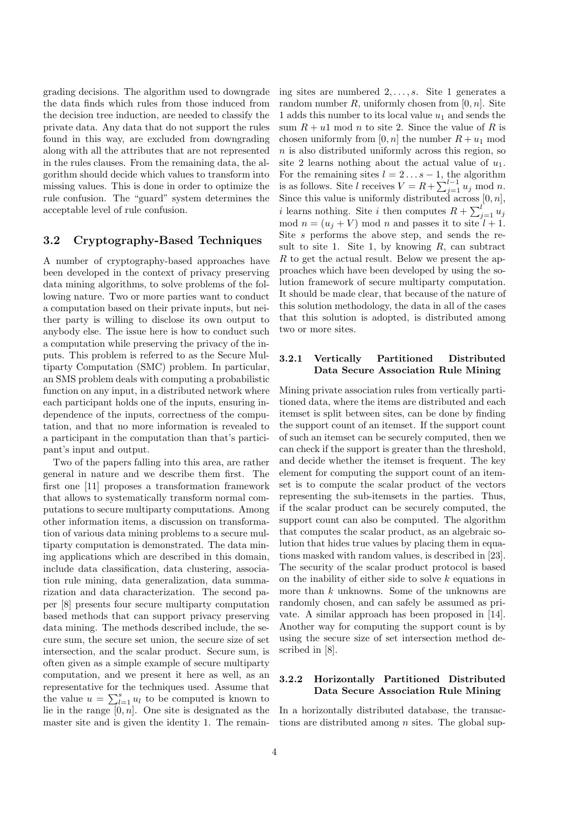grading decisions. The algorithm used to downgrade the data finds which rules from those induced from the decision tree induction, are needed to classify the private data. Any data that do not support the rules found in this way, are excluded from downgrading along with all the attributes that are not represented in the rules clauses. From the remaining data, the algorithm should decide which values to transform into missing values. This is done in order to optimize the rule confusion. The "guard" system determines the acceptable level of rule confusion.

### 3.2 Cryptography-Based Techniques

A number of cryptography-based approaches have been developed in the context of privacy preserving data mining algorithms, to solve problems of the following nature. Two or more parties want to conduct a computation based on their private inputs, but neither party is willing to disclose its own output to anybody else. The issue here is how to conduct such a computation while preserving the privacy of the inputs. This problem is referred to as the Secure Multiparty Computation (SMC) problem. In particular, an SMS problem deals with computing a probabilistic function on any input, in a distributed network where each participant holds one of the inputs, ensuring independence of the inputs, correctness of the computation, and that no more information is revealed to a participant in the computation than that's participant's input and output.

Two of the papers falling into this area, are rather general in nature and we describe them first. The first one  $[11]$  proposes a transformation framework that allows to systematically transform normal computations to secure multiparty computations. Among other information items, a discussion on transformation of various data mining problems to a secure multiparty computation is demonstrated. The data mining applications which are described in this domain, include data classification, data clustering, association rule mining, data generalization, data summarization and data characterization. The second paper [8] presents four secure multiparty computation based methods that can support privacy preserving data mining. The methods described include, the secure sum, the secure set union, the secure size of set intersection, and the scalar product. Secure sum, is often given as a simple example of secure multiparty computation, and we present it here as well, as an representative for the techniques used. Assume that the value  $u = \sum_{l=1}^{s} u_l$  to be computed is known to lie in the range  $[0, n]$ . One site is designated as the master site and is given the identity 1. The remaining sites are numbered  $2, \ldots, s$ . Site 1 generates a random number  $R$ , uniformly chosen from  $[0, n]$ . Site 1 adds this number to its local value  $u_1$  and sends the sum  $R + u_1$  mod n to site 2. Since the value of R is chosen uniformly from  $[0, n]$  the number  $R + u_1$  mod  $n$  is also distributed uniformly across this region, so site 2 learns nothing about the actual value of  $u_1$ . For the remaining sites  $l = 2...s - 1$ , the algorithm is as follows. Site l receives  $V = R + \sum_{j=1}^{l-1} u_j \mod n$ . Since this value is uniformly distributed across  $[0, n]$ , *i* learns nothing. Site *i* then computes  $R + \sum_{j=1}^{l} u_j$ mod  $n = (u_i + V)$  mod n and passes it to site  $l + 1$ . Site s performs the above step, and sends the result to site 1. Site 1, by knowing  $R$ , can subtract  $R$  to get the actual result. Below we present the approaches which have been developed by using the solution framework of secure multiparty computation. It should be made clear, that because of the nature of this solution methodology, the data in all of the cases that this solution is adopted, is distributed among two or more sites.

#### 3.2.1 Vertically Partitioned Distributed Data Secure Association Rule Mining

Mining private association rules from vertically partitioned data, where the items are distributed and each itemset is split between sites, can be done by finding the support count of an itemset. If the support count of such an itemset can be securely computed, then we can check if the support is greater than the threshold, and decide whether the itemset is frequent. The key element for computing the support count of an itemset is to compute the scalar product of the vectors representing the sub-itemsets in the parties. Thus, if the scalar product can be securely computed, the support count can also be computed. The algorithm that computes the scalar product, as an algebraic solution that hides true values by placing them in equations masked with random values, is described in [23]. The security of the scalar product protocol is based on the inability of either side to solve  $k$  equations in more than k unknowns. Some of the unknowns are randomly chosen, and can safely be assumed as private. A similar approach has been proposed in [14]. Another way for computing the support count is by using the secure size of set intersection method described in [8].

### 3.2.2 Horizontally Partitioned Distributed Data Secure Association Rule Mining

In a horizontally distributed database, the transactions are distributed among  $n$  sites. The global sup-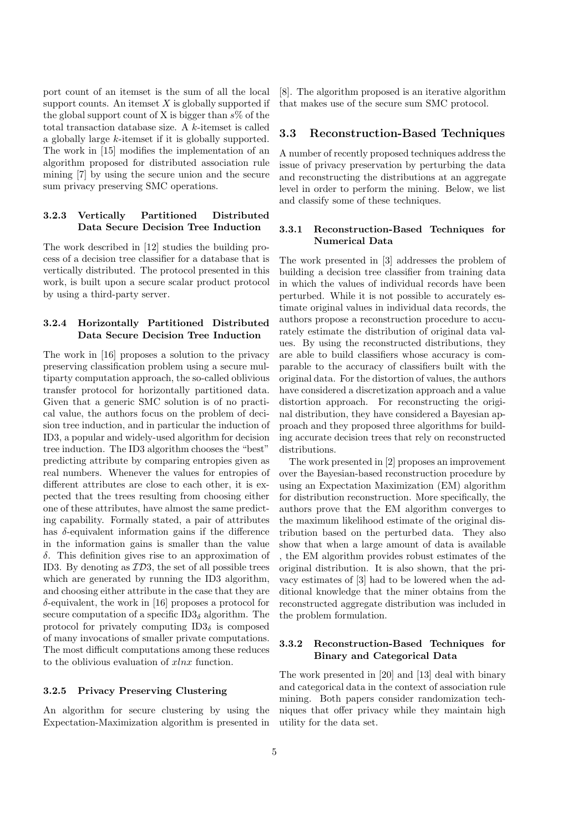port count of an itemset is the sum of all the local support counts. An itemset  $X$  is globally supported if the global support count of X is bigger than  $s\%$  of the total transaction database size. A k-itemset is called a globally large k-itemset if it is globally supported. The work in [15] modifies the implementation of an algorithm proposed for distributed association rule mining [7] by using the secure union and the secure sum privacy preserving SMC operations.

#### 3.2.3 Vertically Partitioned Distributed Data Secure Decision Tree Induction

The work described in [12] studies the building process of a decision tree classifier for a database that is vertically distributed. The protocol presented in this work, is built upon a secure scalar product protocol by using a third-party server.

### 3.2.4 Horizontally Partitioned Distributed Data Secure Decision Tree Induction

The work in [16] proposes a solution to the privacy preserving classification problem using a secure multiparty computation approach, the so-called oblivious transfer protocol for horizontally partitioned data. Given that a generic SMC solution is of no practical value, the authors focus on the problem of decision tree induction, and in particular the induction of ID3, a popular and widely-used algorithm for decision tree induction. The ID3 algorithm chooses the "best" predicting attribute by comparing entropies given as real numbers. Whenever the values for entropies of different attributes are close to each other, it is expected that the trees resulting from choosing either one of these attributes, have almost the same predicting capability. Formally stated, a pair of attributes has  $\delta$ -equivalent information gains if the difference in the information gains is smaller than the value  $\delta$ . This definition gives rise to an approximation of ID3. By denoting as  $ID3$ , the set of all possible trees which are generated by running the ID3 algorithm, and choosing either attribute in the case that they are δ-equivalent, the work in [16] proposes a protocol for secure computation of a specific  $ID3<sub>δ</sub>$  algorithm. The protocol for privately computing  $ID3<sub>δ</sub>$  is composed of many invocations of smaller private computations. The most difficult computations among these reduces to the oblivious evaluation of xlnx function.

#### 3.2.5 Privacy Preserving Clustering

An algorithm for secure clustering by using the Expectation-Maximization algorithm is presented in [8]. The algorithm proposed is an iterative algorithm that makes use of the secure sum SMC protocol.

#### 3.3 Reconstruction-Based Techniques

A number of recently proposed techniques address the issue of privacy preservation by perturbing the data and reconstructing the distributions at an aggregate level in order to perform the mining. Below, we list and classify some of these techniques.

#### 3.3.1 Reconstruction-Based Techniques for Numerical Data

The work presented in [3] addresses the problem of building a decision tree classifier from training data in which the values of individual records have been perturbed. While it is not possible to accurately estimate original values in individual data records, the authors propose a reconstruction procedure to accurately estimate the distribution of original data values. By using the reconstructed distributions, they are able to build classifiers whose accuracy is comparable to the accuracy of classiers built with the original data. For the distortion of values, the authors have considered a discretization approach and a value distortion approach. For reconstructing the original distribution, they have considered a Bayesian approach and they proposed three algorithms for building accurate decision trees that rely on reconstructed distributions.

The work presented in [2] proposes an improvement over the Bayesian-based reconstruction procedure by using an Expectation Maximization (EM) algorithm for distribution reconstruction. More specifically, the authors prove that the EM algorithm converges to the maximum likelihood estimate of the original distribution based on the perturbed data. They also show that when a large amount of data is available , the EM algorithm provides robust estimates of the original distribution. It is also shown, that the privacy estimates of [3] had to be lowered when the additional knowledge that the miner obtains from the reconstructed aggregate distribution was included in the problem formulation.

#### 3.3.2 Reconstruction-Based Techniques for Binary and Categorical Data

The work presented in [20] and [13] deal with binary and categorical data in the context of association rule mining. Both papers consider randomization techniques that offer privacy while they maintain high utility for the data set.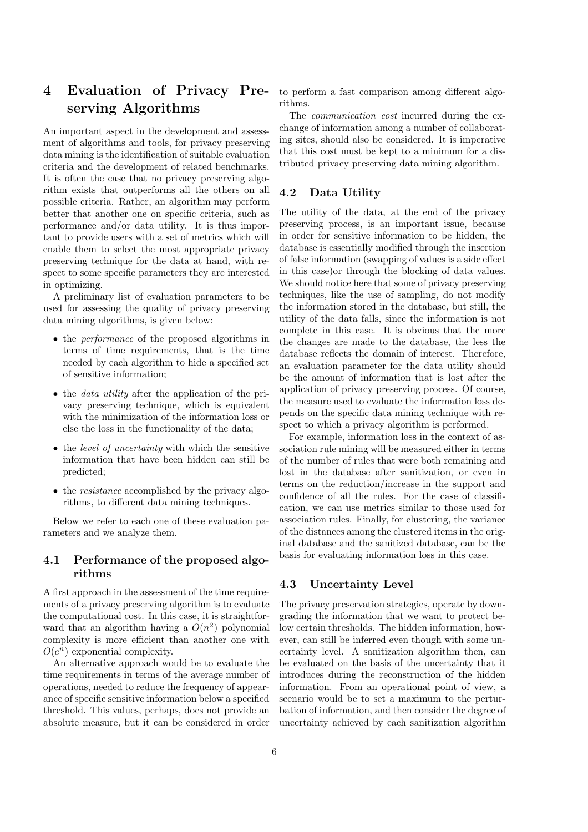# 4 Evaluation of Privacy Preserving Algorithms

An important aspect in the development and assessment of algorithms and tools, for privacy preserving data mining is the identification of suitable evaluation criteria and the development of related benchmarks. It is often the case that no privacy preserving algorithm exists that outperforms all the others on all possible criteria. Rather, an algorithm may perform better that another one on specific criteria, such as performance and/or data utility. It is thus important to provide users with a set of metrics which will enable them to select the most appropriate privacy preserving technique for the data at hand, with respect to some specific parameters they are interested in optimizing.

A preliminary list of evaluation parameters to be used for assessing the quality of privacy preserving data mining algorithms, is given below:

- the performance of the proposed algorithms in terms of time requirements, that is the time needed by each algorithm to hide a specified set of sensitive information;
- the *data utility* after the application of the privacy preserving technique, which is equivalent with the minimization of the information loss or else the loss in the functionality of the data;
- the *level of uncertainty* with which the sensitive information that have been hidden can still be predicted;
- the *resistance* accomplished by the privacy algorithms, to different data mining techniques.

Below we refer to each one of these evaluation parameters and we analyze them.

### 4.1 Performance of the proposed algorithms

A first approach in the assessment of the time requirements of a privacy preserving algorithm is to evaluate the computational cost. In this case, it is straightforward that an algorithm having a  $O(n^2)$  polynomial complexity is more efficient than another one with  $O(e^n)$  exponential complexity.

An alternative approach would be to evaluate the time requirements in terms of the average number of operations, needed to reduce the frequency of appearance of specific sensitive information below a specified threshold. This values, perhaps, does not provide an absolute measure, but it can be considered in order to perform a fast comparison among different algorithms.

The *communication cost* incurred during the exchange of information among a number of collaborating sites, should also be considered. It is imperative that this cost must be kept to a minimum for a distributed privacy preserving data mining algorithm.

## 4.2 Data Utility

The utility of the data, at the end of the privacy preserving process, is an important issue, because in order for sensitive information to be hidden, the database is essentially modified through the insertion of false information (swapping of values is a side effect in this case)or through the blocking of data values. We should notice here that some of privacy preserving techniques, like the use of sampling, do not modify the information stored in the database, but still, the utility of the data falls, since the information is not complete in this case. It is obvious that the more the changes are made to the database, the less the database reflects the domain of interest. Therefore, an evaluation parameter for the data utility should be the amount of information that is lost after the application of privacy preserving process. Of course, the measure used to evaluate the information loss depends on the specific data mining technique with respect to which a privacy algorithm is performed.

For example, information loss in the context of association rule mining will be measured either in terms of the number of rules that were both remaining and lost in the database after sanitization, or even in terms on the reduction/increase in the support and confidence of all the rules. For the case of classification, we can use metrics similar to those used for association rules. Finally, for clustering, the variance of the distances among the clustered items in the original database and the sanitized database, can be the basis for evaluating information loss in this case.

### 4.3 Uncertainty Level

The privacy preservation strategies, operate by downgrading the information that we want to protect below certain thresholds. The hidden information, however, can still be inferred even though with some uncertainty level. A sanitization algorithm then, can be evaluated on the basis of the uncertainty that it introduces during the reconstruction of the hidden information. From an operational point of view, a scenario would be to set a maximum to the perturbation of information, and then consider the degree of uncertainty achieved by each sanitization algorithm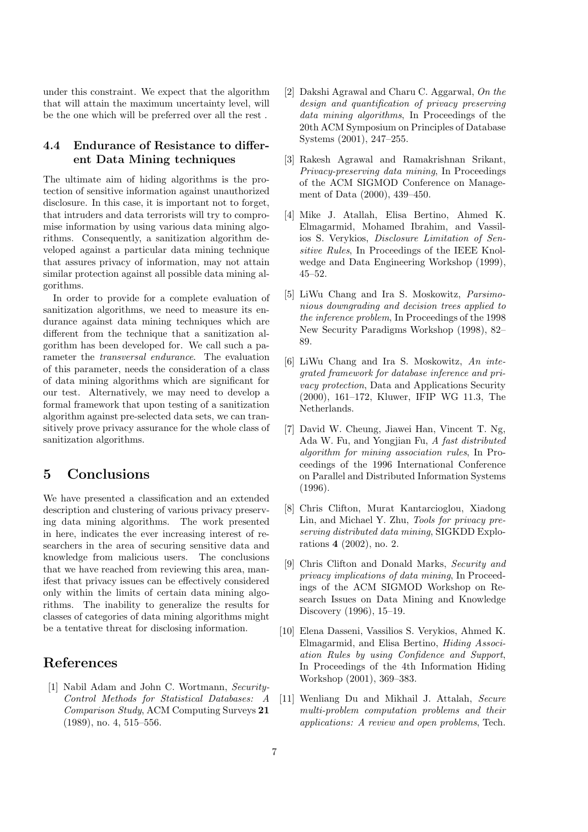under this constraint. We expect that the algorithm that will attain the maximum uncertainty level, will be the one which will be preferred over all the rest .

## 4.4 Endurance of Resistance to different Data Mining techniques

The ultimate aim of hiding algorithms is the protection of sensitive information against unauthorized disclosure. In this case, it is important not to forget, that intruders and data terrorists will try to compromise information by using various data mining algorithms. Consequently, a sanitization algorithm developed against a particular data mining technique that assures privacy of information, may not attain similar protection against all possible data mining algorithms.

In order to provide for a complete evaluation of sanitization algorithms, we need to measure its endurance against data mining techniques which are different from the technique that a sanitization algorithm has been developed for. We call such a parameter the transversal endurance. The evaluation of this parameter, needs the consideration of a class of data mining algorithms which are signicant for our test. Alternatively, we may need to develop a formal framework that upon testing of a sanitization algorithm against pre-selected data sets, we can transitively prove privacy assurance for the whole class of sanitization algorithms.

# 5 Conclusions

We have presented a classification and an extended description and clustering of various privacy preserving data mining algorithms. The work presented in here, indicates the ever increasing interest of researchers in the area of securing sensitive data and knowledge from malicious users. The conclusions that we have reached from reviewing this area, manifest that privacy issues can be effectively considered only within the limits of certain data mining algorithms. The inability to generalize the results for classes of categories of data mining algorithms might be a tentative threat for disclosing information.

# References

[1] Nabil Adam and John C. Wortmann, Security-Control Methods for Statistical Databases: A Comparison Study, ACM Computing Surveys 21  $(1989)$ , no. 4, 515-556.

- [2] Dakshi Agrawal and Charu C. Aggarwal, On the design and quantification of privacy preserving data mining algorithms, In Proceedings of the 20th ACM Symposium on Principles of Database Systems  $(2001)$ ,  $247-255$ .
- [3] Rakesh Agrawal and Ramakrishnan Srikant, Privacy-preserving data mining, In Proceedings of the ACM SIGMOD Conference on Management of Data  $(2000)$ , 439-450.
- [4] Mike J. Atallah, Elisa Bertino, Ahmed K. Elmagarmid, Mohamed Ibrahim, and Vassilios S. Verykios, Disclosure Limitation of Sensitive Rules. In Proceedings of the IEEE Knolwedge and Data Engineering Workshop (1999),  $45 - 52.$
- [5] LiWu Chang and Ira S. Moskowitz, Parsimonious downgrading and decision trees applied to the inference problem, In Proceedings of the 1998 New Security Paradigms Workshop (1998), 82 89.
- [6] LiWu Chang and Ira S. Moskowitz, An integrated framework for database inference and privacy protection, Data and Applications Security  $(2000)$ , 161–172, Kluwer, IFIP WG 11.3, The Netherlands.
- [7] David W. Cheung, Jiawei Han, Vincent T. Ng, Ada W. Fu, and Yongjian Fu, A fast distributed algorithm for mining association rules, In Proceedings of the 1996 International Conference on Parallel and Distributed Information Systems (1996).
- [8] Chris Clifton, Murat Kantarcioglou, Xiadong Lin, and Michael Y. Zhu, Tools for privacy preserving distributed data mining, SIGKDD Explorations 4 (2002), no. 2.
- [9] Chris Clifton and Donald Marks, Security and privacy implications of data mining, In Proceedings of the ACM SIGMOD Workshop on Research Issues on Data Mining and Knowledge Discovery  $(1996)$ , 15-19.
- [10] Elena Dasseni, Vassilios S. Verykios, Ahmed K. Elmagarmid, and Elisa Bertino, Hiding Association Rules by using Confidence and Support, In Proceedings of the 4th Information Hiding Workshop (2001), 369-383.
- [11] Wenliang Du and Mikhail J. Attalah, Secure multi-problem computation problems and their applications: A review and open problems, Tech.